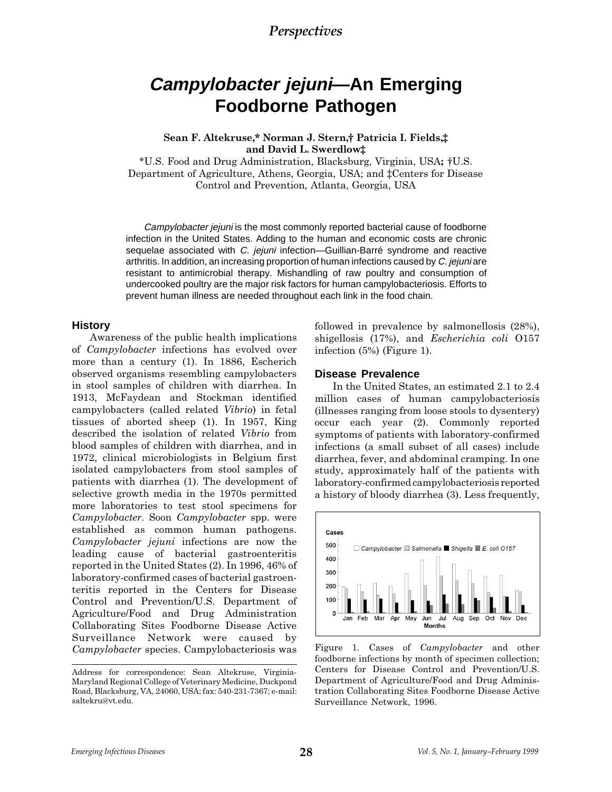# **Campylobacter jejuni—An Emerging Foodborne Pathogen**

Sean F. Altekruse,\* Norman J. Stern,† Patricia I. Fields,‡ and David L. Swerdlow

\*U.S. Food and Drug Administration, Blacksburg, Virginia, USA; U.S. Department of Agriculture, Athens, Georgia, USA; and ‡Centers for Disease Control and Prevention, Atlanta, Georgia, USA

Campylobacter jejuni is the most commonly reported bacterial cause of foodborne infection in the United States. Adding to the human and economic costs are chronic sequelae associated with C. jejuni infection—Guillian-Barré syndrome and reactive arthritis. In addition, an increasing proportion of human infections caused by C. jejuni are resistant to antimicrobial therapy. Mishandling of raw poultry and consumption of undercooked poultry are the major risk factors for human campylobacteriosis. Efforts to prevent human illness are needed throughout each link in the food chain.

#### **History**

Awareness of the public health implications of Campylobacter infections has evolved over more than a century (1). In 1886, Escherich observed organisms resembling campylobacters in stool samples of children with diarrhea. In 1913, McFaydean and Stockman identified campylobacters (called related Vibrio) in fetal tissues of aborted sheep (1). In 1957, King described the isolation of related Vibrio from blood samples of children with diarrhea, and in 1972, clinical microbiologists in Belgium first isolated campylobacters from stool samples of patients with diarrhea (1). The development of selective growth media in the 1970s permitted more laboratories to test stool specimens for Campylobacter. Soon Campylobacter spp. were established as common human pathogens. Campylobacter jejuni infections are now the leading cause of bacterial gastroenteritis reported in the United States (2). In 1996, 46% of laboratory-confirmed cases of bacterial gastroenteritis reported in the Centers for Disease Control and Prevention/U.S. Department of Agriculture/Food and Drug Administration Collaborating Sites Foodborne Disease Active Surveillance Network were caused by Campylobacter species. Campylobacteriosis was

followed in prevalence by salmonellosis (28%), shigellosis (17%), and Escherichia coli O157 infection (5%) (Figure 1).

### **Disease Prevalence**

In the United States, an estimated 2.1 to 2.4 million cases of human campylobacteriosis (illnesses ranging from loose stools to dysentery) occur each year (2). Commonly reported symptoms of patients with laboratory-confirmed infections (a small subset of all cases) include diarrhea, fever, and abdominal cramping. In one study, approximately half of the patients with laboratory-confirmed campylobacteriosis reported a history of bloody diarrhea (3). Less frequently,



Figure 1. Cases of Campylobacter and other foodborne infections by month of specimen collection; Centers for Disease Control and Prevention/U.S. Department of Agriculture/Food and Drug Administration Collaborating Sites Foodborne Disease Active Surveillance Network, 1996.

Address for correspondence: Sean Altekruse, Virginia-Maryland Regional College of Veterinary Medicine, Duckpond Road, Blacksburg, VA, 24060, USA; fax: 540-231-7367; e-mail: saltekru@vt.edu.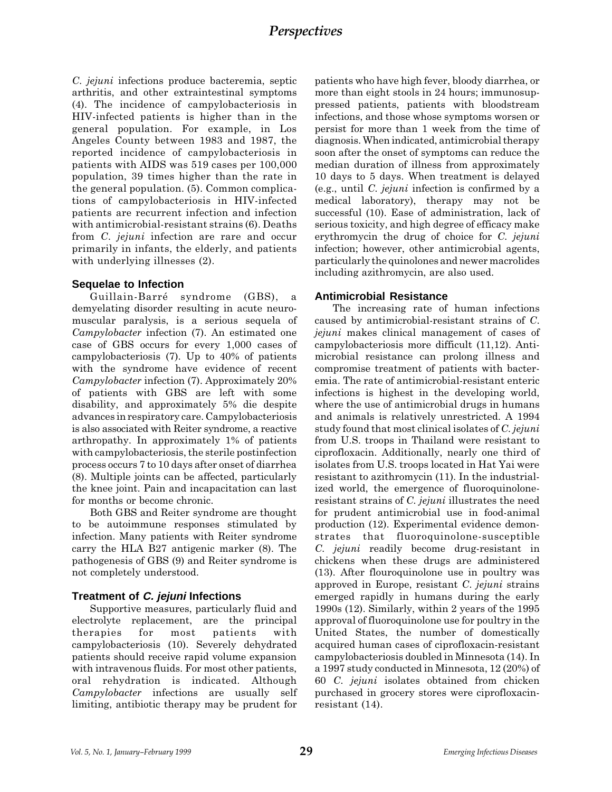C. jejuni infections produce bacteremia, septic arthritis, and other extraintestinal symptoms (4). The incidence of campylobacteriosis in HIV-infected patients is higher than in the general population. For example, in Los Angeles County between 1983 and 1987, the reported incidence of campylobacteriosis in patients with AIDS was 519 cases per 100,000 population, 39 times higher than the rate in the general population. (5). Common complications of campylobacteriosis in HIV-infected patients are recurrent infection and infection with antimicrobial-resistant strains (6). Deaths from C. jejuni infection are rare and occur primarily in infants, the elderly, and patients with underlying illnesses (2).

### **Sequelae to Infection**

Guillain-Barré syndrome (GBS), a demyelating disorder resulting in acute neuromuscular paralysis, is a serious sequela of Campylobacter infection (7). An estimated one case of GBS occurs for every 1,000 cases of campylobacteriosis (7). Up to 40% of patients with the syndrome have evidence of recent Campylobacter infection (7). Approximately 20% of patients with GBS are left with some disability, and approximately 5% die despite advances in respiratory care. Campylobacteriosis is also associated with Reiter syndrome, a reactive arthropathy. In approximately 1% of patients with campylobacteriosis, the sterile postinfection process occurs 7 to 10 days after onset of diarrhea (8). Multiple joints can be affected, particularly the knee joint. Pain and incapacitation can last for months or become chronic.

Both GBS and Reiter syndrome are thought to be autoimmune responses stimulated by infection. Many patients with Reiter syndrome carry the HLA B27 antigenic marker (8). The pathogenesis of GBS (9) and Reiter syndrome is not completely understood.

### **Treatment of C. jejuni Infections**

Supportive measures, particularly fluid and electrolyte replacement, are the principal therapies for most patients with campylobacteriosis (10). Severely dehydrated patients should receive rapid volume expansion with intravenous fluids. For most other patients, oral rehydration is indicated. Although Campylobacter infections are usually self limiting, antibiotic therapy may be prudent for

patients who have high fever, bloody diarrhea, or more than eight stools in 24 hours; immunosuppressed patients, patients with bloodstream infections, and those whose symptoms worsen or persist for more than 1 week from the time of diagnosis. When indicated, antimicrobial therapy soon after the onset of symptoms can reduce the median duration of illness from approximately 10 days to 5 days. When treatment is delayed (e.g., until C. jejuni infection is confirmed by a medical laboratory), therapy may not be successful (10). Ease of administration, lack of serious toxicity, and high degree of efficacy make erythromycin the drug of choice for C. jejuni infection; however, other antimicrobial agents, particularly the quinolones and newer macrolides including azithromycin, are also used.

### **Antimicrobial Resistance**

The increasing rate of human infections caused by antimicrobial-resistant strains of C. jejuni makes clinical management of cases of campylobacteriosis more difficult (11,12). Antimicrobial resistance can prolong illness and compromise treatment of patients with bacteremia. The rate of antimicrobial-resistant enteric infections is highest in the developing world, where the use of antimicrobial drugs in humans and animals is relatively unrestricted. A 1994 study found that most clinical isolates of C. jejuni from U.S. troops in Thailand were resistant to ciprofloxacin. Additionally, nearly one third of isolates from U.S. troops located in Hat Yai were resistant to azithromycin (11). In the industrialized world, the emergence of fluoroquinoloneresistant strains of C. jejuni illustrates the need for prudent antimicrobial use in food-animal production (12). Experimental evidence demonstrates that fluoroquinolone-susceptible C. jejuni readily become drug-resistant in chickens when these drugs are administered (13). After flouroquinolone use in poultry was approved in Europe, resistant C. jejuni strains emerged rapidly in humans during the early 1990s (12). Similarly, within 2 years of the 1995 approval of fluoroquinolone use for poultry in the United States, the number of domestically acquired human cases of ciprofloxacin-resistant campylobacteriosis doubled in Minnesota (14). In a 1997 study conducted in Minnesota, 12 (20%) of 60 C. jejuni isolates obtained from chicken purchased in grocery stores were ciprofloxacinresistant (14).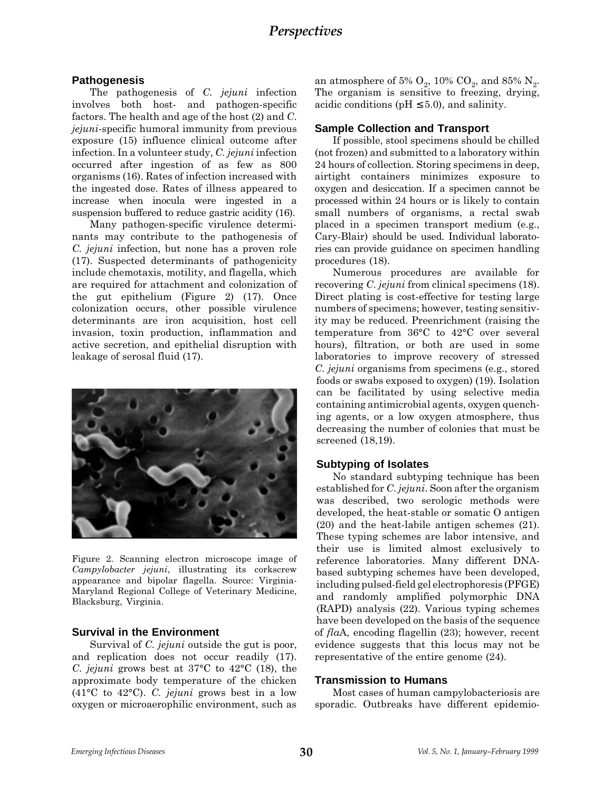### **Pathogenesis**

The pathogenesis of C. jejuni infection involves both host- and pathogen-specific factors. The health and age of the host (2) and C. jejuni-specific humoral immunity from previous exposure (15) influence clinical outcome after infection. In a volunteer study, C. jejuni infection occurred after ingestion of as few as 800 organisms (16). Rates of infection increased with the ingested dose. Rates of illness appeared to increase when inocula were ingested in a suspension buffered to reduce gastric acidity (16).

Many pathogen-specific virulence determinants may contribute to the pathogenesis of C. jejuni infection, but none has a proven role (17). Suspected determinants of pathogenicity include chemotaxis, motility, and flagella, which are required for attachment and colonization of the gut epithelium (Figure 2) (17). Once colonization occurs, other possible virulence determinants are iron acquisition, host cell invasion, toxin production, inflammation and active secretion, and epithelial disruption with leakage of serosal fluid (17).



Figure 2. Scanning electron microscope image of Campylobacter jejuni, illustrating its corkscrew appearance and bipolar flagella. Source: Virginia-Maryland Regional College of Veterinary Medicine, Blacksburg, Virginia.

### **Survival in the Environment**

Survival of *C. jejuni* outside the gut is poor, and replication does not occur readily (17). C. jejuni grows best at 37°C to 42°C (18), the approximate body temperature of the chicken (41 $^{\circ}$ C to 42 $^{\circ}$ C). C. jejuni grows best in a low oxygen or microaerophilic environment, such as an atmosphere of 5%  $O_2$ , 10%  $CO_2$ , and 85% N<sub>2</sub>. The organism is sensitive to freezing, drying, acidic conditions ( $pH \leq 5.0$ ), and salinity.

### **Sample Collection and Transport**

If possible, stool specimens should be chilled (not frozen) and submitted to a laboratory within 24 hours of collection. Storing specimens in deep, airtight containers minimizes exposure to oxygen and desiccation. If a specimen cannot be processed within 24 hours or is likely to contain small numbers of organisms, a rectal swab placed in a specimen transport medium (e.g., Cary-Blair) should be used. Individual laboratories can provide guidance on specimen handling procedures (18).

Numerous procedures are available for recovering C. jejuni from clinical specimens (18). Direct plating is cost-effective for testing large numbers of specimens; however, testing sensitivity may be reduced. Preenrichment (raising the temperature from 36°C to 42°C over several hours), filtration, or both are used in some laboratories to improve recovery of stressed C. jejuni organisms from specimens (e.g., stored foods or swabs exposed to oxygen) (19). Isolation can be facilitated by using selective media containing antimicrobial agents, oxygen quenching agents, or a low oxygen atmosphere, thus decreasing the number of colonies that must be screened (18,19).

### **Subtyping of Isolates**

No standard subtyping technique has been established for C. jejuni. Soon after the organism was described, two serologic methods were developed, the heat-stable or somatic O antigen (20) and the heat-labile antigen schemes (21). These typing schemes are labor intensive, and their use is limited almost exclusively to reference laboratories. Many different DNAbased subtyping schemes have been developed, including pulsed-field gel electrophoresis (PFGE) and randomly amplified polymorphic DNA (RAPD) analysis (22). Various typing schemes have been developed on the basis of the sequence of flaA, encoding flagellin (23); however, recent evidence suggests that this locus may not be representative of the entire genome (24).

### **Transmission to Humans**

Most cases of human campylobacteriosis are sporadic. Outbreaks have different epidemio-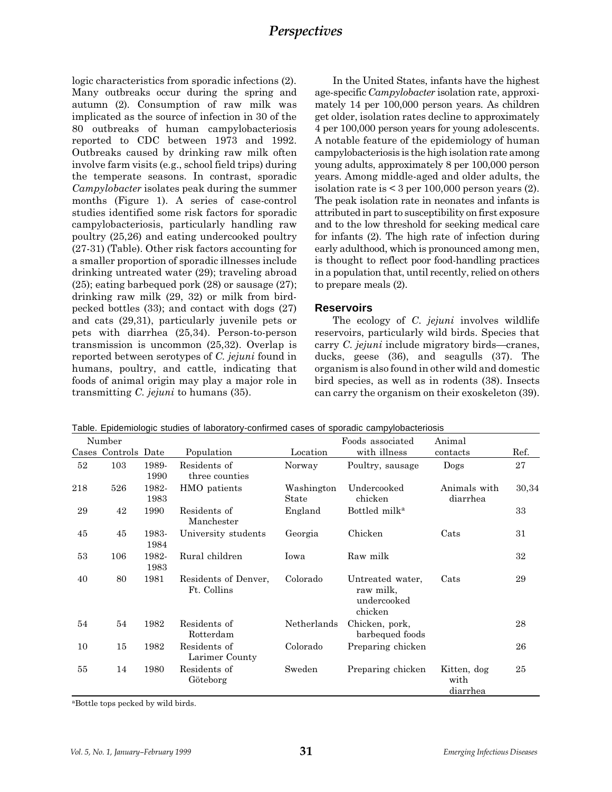logic characteristics from sporadic infections (2). Many outbreaks occur during the spring and autumn (2). Consumption of raw milk was implicated as the source of infection in 30 of the 80 outbreaks of human campylobacteriosis reported to CDC between 1973 and 1992. Outbreaks caused by drinking raw milk often involve farm visits (e.g., school field trips) during the temperate seasons. In contrast, sporadic Campylobacter isolates peak during the summer months (Figure 1). A series of case-control studies identified some risk factors for sporadic campylobacteriosis, particularly handling raw poultry (25,26) and eating undercooked poultry (27-31) (Table). Other risk factors accounting for a smaller proportion of sporadic illnesses include drinking untreated water (29); traveling abroad (25); eating barbequed pork (28) or sausage (27); drinking raw milk (29, 32) or milk from birdpecked bottles (33); and contact with dogs (27) and cats (29,31), particularly juvenile pets or pets with diarrhea (25,34). Person-to-person transmission is uncommon (25,32). Overlap is reported between serotypes of C. jejuni found in humans, poultry, and cattle, indicating that foods of animal origin may play a major role in transmitting C. jejuni to humans (35).

In the United States, infants have the highest age-specific Campylobacter isolation rate, approximately 14 per 100,000 person years. As children get older, isolation rates decline to approximately 4 per 100,000 person years for young adolescents. A notable feature of the epidemiology of human campylobacteriosis is the high isolation rate among young adults, approximately 8 per 100,000 person years. Among middle-aged and older adults, the isolation rate is  $\leq$  3 per 100,000 person years (2). The peak isolation rate in neonates and infants is attributed in part to susceptibility on first exposure and to the low threshold for seeking medical care for infants (2). The high rate of infection during early adulthood, which is pronounced among men, is thought to reflect poor food-handling practices in a population that, until recently, relied on others to prepare meals (2).

#### **Reservoirs**

The ecology of C. *jejuni* involves wildlife reservoirs, particularly wild birds. Species that carry  $C$ . *jejuni* include migratory birds—cranes, ducks, geese (36), and seagulls (37). The organism is also found in other wild and domestic bird species, as well as in rodents (38). Insects can carry the organism on their exoskeleton (39).

|     | Number         |               |                                     |                     | Foods associated                                        | Animal                          |       |
|-----|----------------|---------------|-------------------------------------|---------------------|---------------------------------------------------------|---------------------------------|-------|
|     | Cases Controls | Date          | Population                          | Location            | with illness                                            | contacts                        | Ref.  |
| 52  | 103            | 1989-<br>1990 | Residents of<br>three counties      | Norway              | Poultry, sausage                                        | Dogs                            | 27    |
| 218 | 526            | 1982-<br>1983 | HMO patients                        | Washington<br>State | Undercooked<br>chicken                                  | Animals with<br>diarrhea        | 30,34 |
| 29  | 42             | 1990          | Residents of<br>Manchester          | England             | Bottled milk <sup>a</sup>                               |                                 | 33    |
| 45  | 45             | 1983-<br>1984 | University students                 | Georgia             | Chicken                                                 | Cats                            | 31    |
| 53  | 106            | 1982-<br>1983 | Rural children                      | Iowa                | Raw milk                                                |                                 | 32    |
| 40  | 80             | 1981          | Residents of Denver,<br>Ft. Collins | Colorado            | Untreated water,<br>raw milk,<br>undercooked<br>chicken | Cats                            | 29    |
| 54  | 54             | 1982          | Residents of<br>Rotterdam           | Netherlands         | Chicken, pork,<br>barbequed foods                       |                                 | 28    |
| 10  | 15             | 1982          | Residents of<br>Larimer County      | Colorado            | Preparing chicken                                       |                                 | 26    |
| 55  | 14             | 1980          | Residents of<br>Göteborg            | Sweden              | Preparing chicken                                       | Kitten, dog<br>with<br>diarrhea | 25    |

Table. Epidemiologic studies of laboratory-confirmed cases of sporadic campylobacteriosis

aBottle tops pecked by wild birds.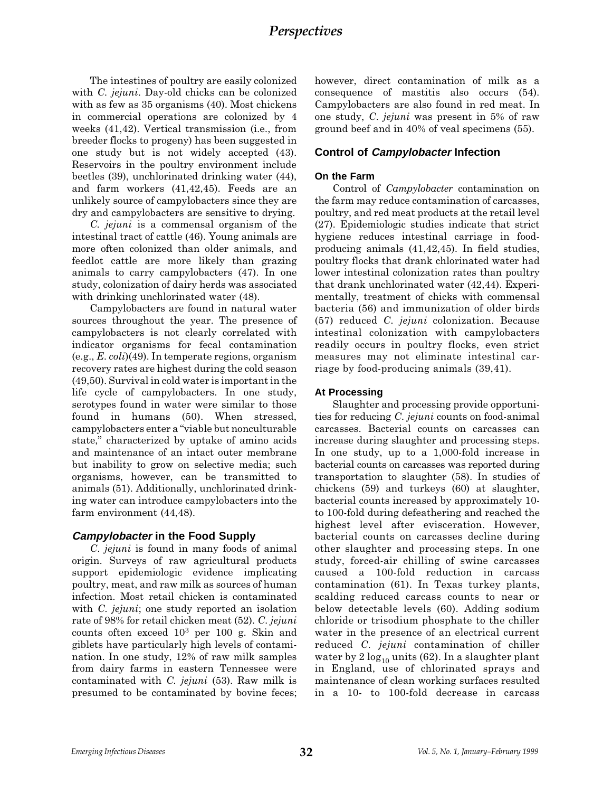The intestines of poultry are easily colonized with C. jejuni. Day-old chicks can be colonized with as few as 35 organisms (40). Most chickens in commercial operations are colonized by 4 weeks (41,42). Vertical transmission (i.e., from breeder flocks to progeny) has been suggested in one study but is not widely accepted (43). Reservoirs in the poultry environment include beetles (39), unchlorinated drinking water (44), and farm workers (41,42,45). Feeds are an unlikely source of campylobacters since they are dry and campylobacters are sensitive to drying.

C. jejuni is a commensal organism of the intestinal tract of cattle (46). Young animals are more often colonized than older animals, and feedlot cattle are more likely than grazing animals to carry campylobacters (47). In one study, colonization of dairy herds was associated with drinking unchlorinated water (48).

Campylobacters are found in natural water sources throughout the year. The presence of campylobacters is not clearly correlated with indicator organisms for fecal contamination (e.g., E. coli)(49). In temperate regions, organism recovery rates are highest during the cold season (49,50). Survival in cold water is important in the life cycle of campylobacters. In one study, serotypes found in water were similar to those found in humans (50). When stressed, campylobacters enter a "viable but nonculturable state," characterized by uptake of amino acids and maintenance of an intact outer membrane but inability to grow on selective media; such organisms, however, can be transmitted to animals (51). Additionally, unchlorinated drinking water can introduce campylobacters into the farm environment (44,48).

### **Campylobacter in the Food Supply**

C. jejuni is found in many foods of animal origin. Surveys of raw agricultural products support epidemiologic evidence implicating poultry, meat, and raw milk as sources of human infection. Most retail chicken is contaminated with *C. jejuni*; one study reported an isolation rate of 98% for retail chicken meat (52). C. jejuni counts often exceed  $10^3$  per 100 g. Skin and giblets have particularly high levels of contamination. In one study, 12% of raw milk samples from dairy farms in eastern Tennessee were contaminated with C. jejuni (53). Raw milk is presumed to be contaminated by bovine feces; however, direct contamination of milk as a consequence of mastitis also occurs (54). Campylobacters are also found in red meat. In one study, C. jejuni was present in 5% of raw ground beef and in 40% of veal specimens (55).

#### **Control of Campylobacter Infection**

#### **On the Farm**

Control of Campylobacter contamination on the farm may reduce contamination of carcasses, poultry, and red meat products at the retail level (27). Epidemiologic studies indicate that strict hygiene reduces intestinal carriage in foodproducing animals (41,42,45). In field studies, poultry flocks that drank chlorinated water had lower intestinal colonization rates than poultry that drank unchlorinated water (42,44). Experimentally, treatment of chicks with commensal bacteria (56) and immunization of older birds (57) reduced C. jejuni colonization. Because intestinal colonization with campylobacters readily occurs in poultry flocks, even strict measures may not eliminate intestinal carriage by food-producing animals (39,41).

#### **At Processing**

Slaughter and processing provide opportunities for reducing C. jejuni counts on food-animal carcasses. Bacterial counts on carcasses can increase during slaughter and processing steps. In one study, up to a 1,000-fold increase in bacterial counts on carcasses was reported during transportation to slaughter (58). In studies of chickens (59) and turkeys (60) at slaughter, bacterial counts increased by approximately 10 to 100-fold during defeathering and reached the highest level after evisceration. However, bacterial counts on carcasses decline during other slaughter and processing steps. In one study, forced-air chilling of swine carcasses caused a 100-fold reduction in carcass contamination (61). In Texas turkey plants, scalding reduced carcass counts to near or below detectable levels (60). Adding sodium chloride or trisodium phosphate to the chiller water in the presence of an electrical current reduced C. jejuni contamination of chiller water by  $2 \log_{10}$  units (62). In a slaughter plant in England, use of chlorinated sprays and maintenance of clean working surfaces resulted in a 10- to 100-fold decrease in carcass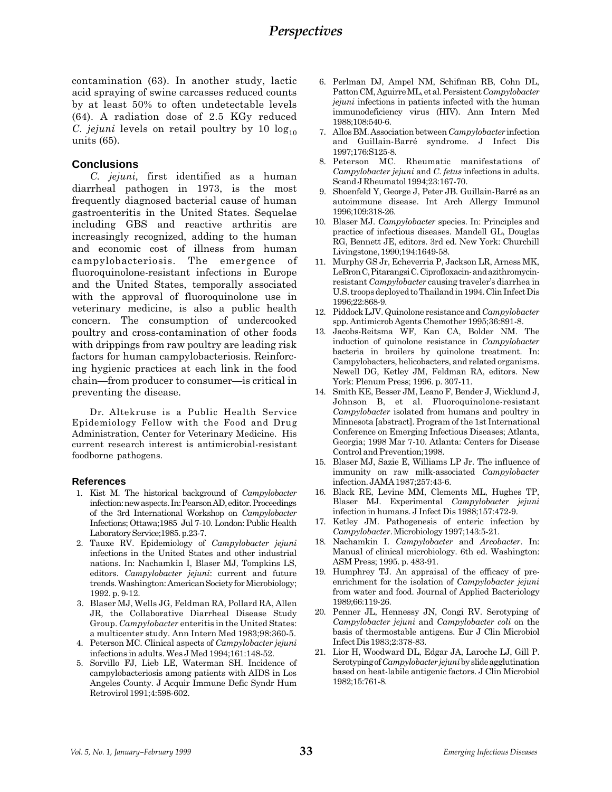contamination (63). In another study, lactic acid spraying of swine carcasses reduced counts by at least 50% to often undetectable levels (64). A radiation dose of 2.5 KGy reduced C. jejuni levels on retail poultry by 10  $log_{10}$ units (65).

### **Conclusions**

C. jejuni, first identified as a human diarrheal pathogen in 1973, is the most frequently diagnosed bacterial cause of human gastroenteritis in the United States. Sequelae including GBS and reactive arthritis are increasingly recognized, adding to the human and economic cost of illness from human campylobacteriosis. The emergence of fluoroquinolone-resistant infections in Europe and the United States, temporally associated with the approval of fluoroquinolone use in veterinary medicine, is also a public health concern. The consumption of undercooked poultry and cross-contamination of other foods with drippings from raw poultry are leading risk factors for human campylobacteriosis. Reinforcing hygienic practices at each link in the food chain—from producer to consumer—is critical in preventing the disease.

Dr. Altekruse is a Public Health Service Epidemiology Fellow with the Food and Drug Administration, Center for Veterinary Medicine. His current research interest is antimicrobial-resistant foodborne pathogens.

### **References**

- 1. Kist M. The historical background of Campylobacter infection: new aspects. In: Pearson AD, editor. Proceedings of the 3rd International Workshop on Campylobacter Infections; Ottawa;1985 Jul 7-10. London: Public Health Laboratory Service;1985. p.23-7.
- 2. Tauxe RV. Epidemiology of Campylobacter jejuni infections in the United States and other industrial nations. In: Nachamkin I, Blaser MJ, Tompkins LS, editors. Campylobacter jejuni: current and future trends. Washington: American Society for Microbiology; 1992. p. 9-12.
- 3. Blaser MJ, Wells JG, Feldman RA, Pollard RA, Allen JR, the Collaborative Diarrheal Disease Study Group. Campylobacter enteritis in the United States: a multicenter study. Ann Intern Med 1983;98:360-5.
- 4. Peterson MC. Clinical aspects of Campylobacter jejuni infections in adults. Wes J Med 1994;161:148-52.
- 5. Sorvillo FJ, Lieb LE, Waterman SH. Incidence of campylobacteriosis among patients with AIDS in Los Angeles County. J Acquir Immune Defic Syndr Hum Retrovirol 1991;4:598-602.
- 6. Perlman DJ, Ampel NM, Schifman RB, Cohn DL, Patton CM, Aguirre ML, et al. Persistent Campylobacter jejuni infections in patients infected with the human immunodeficiency virus (HIV). Ann Intern Med 1988;108:540-6.
- 7. Allos BM. Association between Campylobacter infection and Guillain-Barré syndrome. J Infect Dis 1997;176:S125-8.
- 8. Peterson MC. Rheumatic manifestations of Campylobacter jejuni and C. fetus infections in adults. Scand J Rheumatol 1994;23:167-70.
- 9. Shoenfeld Y, George J, Peter JB. Guillain-Barré as an autoimmune disease. Int Arch Allergy Immunol 1996;109:318-26.
- 10. Blaser MJ. Campylobacter species. In: Principles and practice of infectious diseases. Mandell GL, Douglas RG, Bennett JE, editors. 3rd ed. New York: Churchill Livingstone, 1990;194:1649-58.
- 11. Murphy GS Jr, Echeverria P, Jackson LR, Arness MK, LeBron C, Pitarangsi C. Ciprofloxacin- and azithromycinresistant Campylobacter causing traveler's diarrhea in U.S. troops deployed to Thailand in 1994. Clin Infect Dis 1996;22:868-9.
- 12. Piddock LJV. Quinolone resistance and Campylobacter spp. Antimicrob Agents Chemother 1995;36:891-8.
- 13. Jacobs-Reitsma WF, Kan CA, Bolder NM. The induction of quinolone resistance in Campylobacter bacteria in broilers by quinolone treatment. In: Campylobacters, helicobacters, and related organisms. Newell DG, Ketley JM, Feldman RA, editors. New York: Plenum Press; 1996. p. 307-11.
- 14. Smith KE, Besser JM, Leano F, Bender J, Wicklund J, Johnson B, et al. Fluoroquinolone-resistant Campylobacter isolated from humans and poultry in Minnesota [abstract]. Program of the 1st International Conference on Emerging Infectious Diseases; Atlanta, Georgia; 1998 Mar 7-10. Atlanta: Centers for Disease Control and Prevention;1998.
- 15. Blaser MJ, Sazie E, Williams LP Jr. The influence of immunity on raw milk-associated Campylobacter infection. JAMA 1987;257:43-6.
- 16. Black RE, Levine MM, Clements ML, Hughes TP, Blaser MJ. Experimental Campylobacter jejuni infection in humans. J Infect Dis 1988;157:472-9.
- 17. Ketley JM. Pathogenesis of enteric infection by Campylobacter. Microbiology 1997;143:5-21.
- 18. Nachamkin I. Campylobacter and Arcobacter. In: Manual of clinical microbiology. 6th ed. Washington: ASM Press; 1995. p. 483-91.
- 19. Humphrey TJ. An appraisal of the efficacy of preenrichment for the isolation of Campylobacter jejuni from water and food. Journal of Applied Bacteriology 1989;66:119-26.
- 20. Penner JL, Hennessy JN, Congi RV. Serotyping of Campylobacter jejuni and Campylobacter coli on the basis of thermostable antigens. Eur J Clin Microbiol Infect Dis 1983;2:378-83.
- 21. Lior H, Woodward DL, Edgar JA, Laroche LJ, Gill P. Serotyping of Campylobacter jejuni by slide agglutination based on heat-labile antigenic factors. J Clin Microbiol 1982;15:761-8.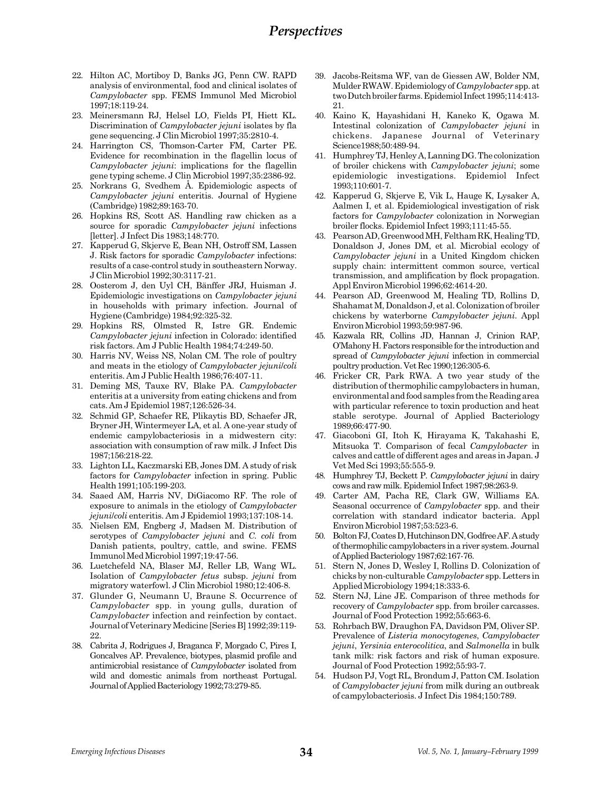- 22. Hilton AC, Mortiboy D, Banks JG, Penn CW. RAPD analysis of environmental, food and clinical isolates of Campylobacter spp. FEMS Immunol Med Microbiol 1997;18:119-24.
- 23. Meinersmann RJ, Helsel LO, Fields PI, Hiett KL. Discrimination of Campylobacter jejuni isolates by fla gene sequencing. J Clin Microbiol 1997;35:2810-4.
- 24. Harrington CS, Thomson-Carter FM, Carter PE. Evidence for recombination in the flagellin locus of Campylobacter jejuni: implications for the flagellin gene typing scheme. J Clin Microbiol 1997;35:2386-92.
- 25. Norkrans G, Svedhem Å. Epidemiologic aspects of Campylobacter jejuni enteritis. Journal of Hygiene (Cambridge) 1982;89:163-70.
- 26. Hopkins RS, Scott AS. Handling raw chicken as a source for sporadic *Campylobacter jejuni* infections [letter]. J Infect Dis 1983;148:770.
- 27. Kapperud G, Skjerve E, Bean NH, Ostroff SM, Lassen J. Risk factors for sporadic Campylobacter infections: results of a case-control study in southeastern Norway. J Clin Microbiol 1992;30:3117-21.
- 28. Oosterom J, den Uyl CH, Bänffer JRJ, Huisman J. Epidemiologic investigations on Campylobacter jejuni in households with primary infection. Journal of Hygiene (Cambridge) 1984;92:325-32.
- 29. Hopkins RS, Olmsted R, Istre GR. Endemic Campylobacter jejuni infection in Colorado: identified risk factors. Am J Public Health 1984;74:249-50.
- 30. Harris NV, Weiss NS, Nolan CM. The role of poultry and meats in the etiology of Campylobacter jejuni/coli enteritis. Am J Public Health 1986;76:407-11.
- 31. Deming MS, Tauxe RV, Blake PA. Campylobacter enteritis at a university from eating chickens and from cats. Am J Epidemiol 1987;126:526-34.
- 32. Schmid GP, Schaefer RE, Plikaytis BD, Schaefer JR, Bryner JH, Wintermeyer LA, et al. A one-year study of endemic campylobacteriosis in a midwestern city: association with consumption of raw milk. J Infect Dis 1987;156:218-22.
- 33. Lighton LL, Kaczmarski EB, Jones DM. A study of risk factors for Campylobacter infection in spring. Public Health 1991;105:199-203.
- 34. Saaed AM, Harris NV, DiGiacomo RF. The role of exposure to animals in the etiology of Campylobacter jejuni/coli enteritis. Am J Epidemiol 1993;137:108-14.
- 35. Nielsen EM, Engberg J, Madsen M. Distribution of serotypes of *Campylobacter jejuni* and *C. coli* from Danish patients, poultry, cattle, and swine. FEMS Immunol Med Microbiol 1997;19:47-56.
- 36. Luetchefeld NA, Blaser MJ, Reller LB, Wang WL. Isolation of Campylobacter fetus subsp. jejuni from migratory waterfowl. J Clin Microbiol 1980;12:406-8.
- 37. Glunder G, Neumann U, Braune S. Occurrence of Campylobacter spp. in young gulls, duration of Campylobacter infection and reinfection by contact. Journal of Veterinary Medicine [Series B] 1992;39:119- 22.
- 38. Cabrita J, Rodrigues J, Braganca F, Morgado C, Pires I, Goncalves AP. Prevalence, biotypes, plasmid profile and antimicrobial resistance of Campylobacter isolated from wild and domestic animals from northeast Portugal. Journal of Applied Bacteriology 1992;73:279-85.
- 39. Jacobs-Reitsma WF, van de Giessen AW, Bolder NM, Mulder RWAW. Epidemiology of Campylobacter spp. at two Dutch broiler farms. Epidemiol Infect 1995;114:413- 21.
- 40. Kaino K, Hayashidani H, Kaneko K, Ogawa M. Intestinal colonization of Campylobacter jejuni in chickens. Japanese Journal of Veterinary Science1988;50:489-94.
- 41. Humphrey TJ, Henley A, Lanning DG. The colonization of broiler chickens with Campylobacter jejuni; some epidemiologic investigations. Epidemiol Infect 1993;110:601-7.
- 42. Kapperud G, Skjerve E, Vik L, Hauge K, Lysaker A, Aalmen I, et al. Epidemiological investigation of risk factors for Campylobacter colonization in Norwegian broiler flocks. Epidemiol Infect 1993;111:45-55.
- 43. Pearson AD, Greenwood MH, Feltham RK, Healing TD, Donaldson J, Jones DM, et al. Microbial ecology of Campylobacter jejuni in a United Kingdom chicken supply chain: intermittent common source, vertical transmission, and amplification by flock propagation. Appl Environ Microbiol 1996;62:4614-20.
- 44. Pearson AD, Greenwood M, Healing TD, Rollins D, Shahamat M, Donaldson J, et al. Colonization of broiler chickens by waterborne Campylobacter jejuni. Appl Environ Microbiol 1993;59:987-96.
- 45. Kazwala RR, Collins JD, Hannan J, Crinion RAP, OMahony H. Factors responsible for the introduction and spread of Campylobacter jejuni infection in commercial poultry production. Vet Rec 1990;126:305-6.
- 46. Fricker CR, Park RWA. A two year study of the distribution of thermophilic campylobacters in human, environmental and food samples from the Reading area with particular reference to toxin production and heat stable serotype. Journal of Applied Bacteriology 1989;66:477-90.
- 47. Giacoboni GI, Itoh K, Hirayama K, Takahashi E, Mitsuoka T. Comparison of fecal Campylobacter in calves and cattle of different ages and areas in Japan. J Vet Med Sci 1993;55:555-9.
- 48. Humphrey TJ, Beckett P. Campylobacter jejuni in dairy cows and raw milk. Epidemiol Infect 1987;98:263-9.
- 49. Carter AM, Pacha RE, Clark GW, Williams EA. Seasonal occurrence of Campylobacter spp. and their correlation with standard indicator bacteria. Appl Environ Microbiol 1987;53:523-6.
- 50. Bolton FJ, Coates D, Hutchinson DN, Godfree AF. A study of thermophilic campylobacters in a river system. Journal of Applied Bacteriology 1987;62:167-76.
- 51. Stern N, Jones D, Wesley I, Rollins D. Colonization of chicks by non-culturable Campylobacter spp. Letters in Applied Microbiology 1994;18:333-6.
- 52. Stern NJ, Line JE. Comparison of three methods for recovery of Campylobacter spp. from broiler carcasses. Journal of Food Protection 1992;55:663-6.
- 53. Rohrbach BW, Draughon FA, Davidson PM, Oliver SP. Prevalence of Listeria monocytogenes, Campylobacter jejuni, Yersinia enterocolitica, and Salmonella in bulk tank milk: risk factors and risk of human exposure. Journal of Food Protection 1992;55:93-7.
- 54. Hudson PJ, Vogt RL, Brondum J, Patton CM. Isolation of Campylobacter jejuni from milk during an outbreak of campylobacteriosis. J Infect Dis 1984;150:789.